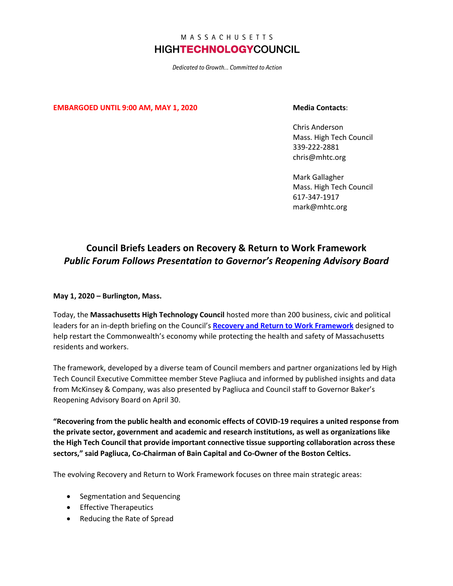## MASSACHUSETTS **HIGHTECHNOLOGYCOUNCIL**

Dedicated to Growth... Committed to Action

**EMBARGOED UNTIL 9:00 AM, MAY 1, 2020 Media Contacts**:

Chris Anderson Mass. High Tech Council 339-222-2881 chris@mhtc.org

Mark Gallagher Mass. High Tech Council 617-347-1917 mark@mhtc.org

## **Council Briefs Leaders on Recovery & Return to Work Framework** *Public Forum Follows Presentation to Governor's Reopening Advisory Board*

**May 1, 2020 – Burlington, Mass.**

Today, the **Massachusetts High Technology Council** hosted more than 200 business, civic and political leaders for an in-depth briefing on the Council's **[Recovery and Return to Work](http://www.mhtc.org/wp-content/uploads/2020/05/MHTC-COVID-19-Briefing-5.5.20-MCK-MEDIA.pdf) Framework** designed to help restart the Commonwealth's economy while protecting the health and safety of Massachusetts residents and workers.

The framework, developed by a diverse team of Council members and partner organizations led by High Tech Council Executive Committee member Steve Pagliuca and informed by published insights and data from McKinsey & Company, was also presented by Pagliuca and Council staff to Governor Baker's Reopening Advisory Board on April 30.

**"Recovering from the public health and economic effects of COVID-19 requires a united response from the private sector, government and academic and research institutions, as well as organizations like the High Tech Council that provide important connective tissue supporting collaboration across these sectors," said Pagliuca, Co-Chairman of Bain Capital and Co-Owner of the Boston Celtics.**

The evolving Recovery and Return to Work Framework focuses on three main strategic areas:

- Segmentation and Sequencing
- Effective Therapeutics
- Reducing the Rate of Spread